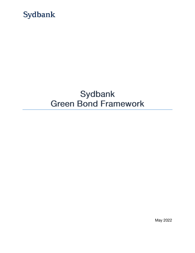

# Sydbank **Green Bond Framework**

May 2022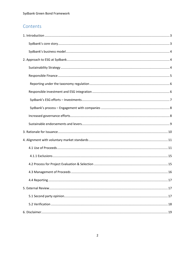## Contents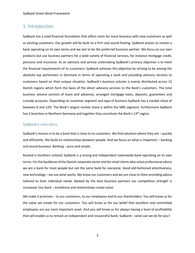Sydbank Green Bond Framework

## <span id="page-2-0"></span>1. Introduction

Sydbank has a solid financial foundation that offers room for more business with new customers as well as existing customers. Our growth will be built on a firm and sound footing. Sydbank wishes to remain a bank operating on its own terms and we aim to be the preferred business partner. We focus on our own products but use business partners for a wide variety of financial services, for instance mortgage credit, pensions and insurance. As an advisory and service undertaking Sydbank's primary objective is to meet the financial requirements of its customers. Sydbank achieves this objective by striving to be among the absolute top performers in Denmark in terms of operating a bank and providing advisory services to customers based on their unique situation. Sydbank's business volume is evenly distributed across 12 Danish regions which form the basis of the direct advisory services to the Bank's customers. The total business volume consists of loans and advances, arranged mortgage loans, deposits, guarantees and custody accounts. Depending on customer segment and type of business Sydbank has a market share of between 6 and 12%. The Bank's largest market share is within the SME segment. Furthermore Sydbank has 3 branches in Northern Germany and together they constitute the Bank's 13<sup>th</sup> region.

## <span id="page-2-1"></span>Sydbank's core story

Sydbank's mission is to be a bank that is close to its customers. We find solutions where they are – quickly and efficiently. We build on relationships between people. And we focus on what is important – banking and sound business. Banking – pure and simple.

Rooted in Southern Jutland, Sydbank is a strong and independent nationwide bank operating on its own terms. For the backbone of the Danish corporate sector and for retail clients who value professional advice we are a bank for most people but not the same bank for everyone. Good old-fashioned attentiveness, new technology – we use what works. We know our customers and we are close to them providing advice tailored to their individual needs. Backed by the best business partners our competitive strength is increased. Our bank – excellence and relationships create value.

We make 3 promises – to our customers, to our employees and to our shareholders. You will know us for the value we create for our customers. You will know us for our belief that excellent and committed employees are our most important asset. And you will know us for always having a level of profitability that will enable us to remain an independent and resourceful bank. Sydbank – what can we do for you?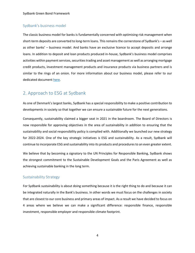## <span id="page-3-0"></span>Sydbank's business model

The classic business model for banks is fundamentally concerned with optimising risk management when short-term deposits are converted to long-term loans. This remains the cornerstone of Sydbank's – as well as other banks' – business model. And banks have an exclusive licence to accept deposits and arrange loans. In addition to deposit and loan products produced in-house, Sydbank's business model comprises activities within payment services, securities trading and asset management as well as arranging mortgage credit products, investment management products and insurance products via business partners and is similar to the rings of an onion. For more information about our business model, please refer to our dedicated document [here.](https://www.sydbank.com/wps/wcm/connect/sydbankcom/e2d0f225-8f05-4c5b-82a5-9d73da1b1cef/20381_Direktion_Sydbanks+Forretningsmodel_2021_UK.pdf?MOD=AJPERES&CVID=nP-HOr3)

## <span id="page-3-1"></span>2. Approach to ESG at Sydbank

As one of Denmark's largest banks, Sydbank has a special responsibility to make a positive contribution to developments in society so that together we can ensure a sustainable future for the next generations.

Consequently, sustainability claimed a bigger seat in 2021 in the boardroom. The Board of Directors is now responsible for approving objectives in the area of sustainability in addition to ensuring that the sustainability and social responsibility policy is complied with. Additionally we launched our new strategy for 2022-2024. One of the key strategic initiatives is ESG and sustainability. As a result, Sydbank will continue to incorporate ESG and sustainability into its products and procedures to an even greater extent.

We believe that by becoming a signatory to the UN Principles for Responsible Banking, Sydbank shows the strongest commitment to the Sustainable Development Goals and the Paris Agreement as well as achieving sustainable banking in the long term.

## <span id="page-3-2"></span>Sustainability Strategy

For Sydbank sustainability is about doing something because it is the right thing to do and because it can be integrated naturally in the Bank's business. In other words we must focus on the challenges in society that are closest to our core business and primary areas of impact. As a result we have decided to focus on 4 areas where we believe we can make a significant difference: responsible finance, responsible investment, responsible employer and responsible climate footprint.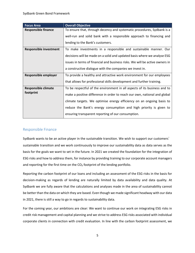| <b>Focus Area</b>             | <b>Overall Objective</b>                                                     |  |  |
|-------------------------------|------------------------------------------------------------------------------|--|--|
| <b>Responsible finance</b>    | To ensure that, through decency and systematic procedures, Sydbank is a      |  |  |
|                               | well-run and solid bank with a responsible approach to financing and         |  |  |
|                               | lending to the Bank's customers.                                             |  |  |
| <b>Responsible investment</b> | To make investments in a responsible and sustainable manner. Our             |  |  |
|                               | decisions will be made on a solid and updated basis where we analyse ESG     |  |  |
|                               | issues in terms of financial and business risks. We will be active owners in |  |  |
|                               | a constructive dialogue with the companies we invest in.                     |  |  |
| Responsible employer          | To provide a healthy and attractive work environment for our employees       |  |  |
|                               | that allows for professional skills development and further training.        |  |  |
| <b>Responsible climate</b>    | To be respectful of the environment in all aspects of its business and to    |  |  |
| footprint                     | make a positive difference in order to reach our own, national and global    |  |  |
|                               | climate targets. We optimise energy efficiency on an ongoing basis to        |  |  |
|                               | reduce the Bank's energy consumption and high priority is given to           |  |  |
|                               | ensuring transparent reporting of our consumption.                           |  |  |

## <span id="page-4-0"></span>Responsible Finance

Sydbank wants to be an active player in the sustainable transition. We wish to support our customers' sustainable transition and we work continuously to improve our sustainability data as data serves as the basis for the goals we want to set in the future. In 2021 we created the foundation for the integration of ESG risks and how to address them, for instance by providing training to our corporate account managers and reporting for the first time on the CO<sub>2</sub> footprint of the lending portfolio.

Reporting the carbon footprint of our loans and including an assessment of the ESG risks in the basis for decision-making as regards of lending are naturally limited by data availability and data quality. At Sydbank we are fully aware that the calculations and analyses made in the area of sustainability cannot be better than the data on which they are based. Even though we made significant headway with our data in 2021, there is still a way to go in regards to sustainability data.

For the coming year, our ambitions are clear: We want to continue our work on integrating ESG risks in credit risk management and capital planning and we strive to address ESG risks associated with individual corporate clients in connection with credit evaluation. In line with the carbon footprint assessment, we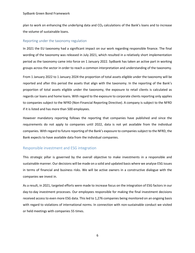plan to work on enhancing the underlying data and CO<sub>2</sub> calculations of the Bank's loans and to increase the volume of sustainable loans.

### <span id="page-5-0"></span>Reporting under the taxonomy regulation

In 2021 the EU taxonomy had a significant impact on our work regarding responsible finance. The final wording of the taxonomy was released in July 2021, which resulted in a relatively short implementation period as the taxonomy came into force on 1 January 2022. Sydbank has taken an active part in working groups across the sector in order to reach a common interpretation and understanding of the taxonomy.

From 1 January 2022 to 1 January 2024 the proportion of total assets eligible under the taxonomy will be reported and after this period the assets that align with the taxonomy. In the reporting of the Bank's proportion of total assets eligible under the taxonomy, the exposure to retail clients is calculated as regards car loans and home loans. With regard to the exposure to corporate clients reporting only applies to companies subject to the NFRD (Non-Financial Reporting Directive). A company is subject to the NFRD if it is listed and has more than 500 employees.

However mandatory reporting follows the reporting that companies have published and since the requirements do not apply to companies until 2022, data is not yet available from the individual companies. With regard to future reporting of the Bank's exposure to companies subject to the NFRD, the Bank expects to have available data from the individual companies.

## <span id="page-5-1"></span>Responsible investment and ESG integration

This strategic pillar is governed by the overall objective to make investments in a responsible and sustainable manner. Our decisions will be made on a solid and updated basis where we analyse ESG issues in terms of financial and business risks. We will be active owners in a constructive dialogue with the companies we invest in.

As a result, in 2021, targeted efforts were made to increase focus on the integration of ESG factors in our day-to-day investment processes. Our employees responsible for making the final investment decisions received access to even more ESG data. This led to 1,276 companies being monitored on an ongoing basis with regard to violations of international norms. In connection with non-sustainable conduct we visited or held meetings with companies 55 times.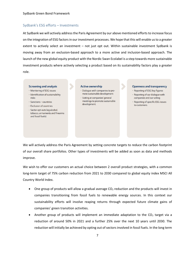## <span id="page-6-0"></span>Sydbank's ESG efforts – Investments

At Sydbank we will actively address the Paris Agreement by our above mentioned efforts to increase focus on the integration of ESG factors in our investment processes. We hope that this will enable us to a greater extent to actively select an investment – not just opt out. Within sustainable investment Sydbank is moving away from an exclusion-based approach to a more active and inclusion-based approach. The launch of the new global equity product with the Nordic Swan Ecolabel is a step towards more sustainable investment products where actively selecting a product based on its sustainability factors play a greater role.

#### **Screening and analysis**

- · Monitoring of ESG issues
- · Identification of sustainability risks
- · Sanctions countries
- · Exclusion of countries
- · Sector opt-outs (eg alcohol, tobacco, armaments and firearms and fossil fuels).

#### **Active ownership**

- · Dialoque with companies to promote sustainable development
- · Voting at companies' general meetings to promote sustainable development.

#### **Openness and transparency**

- · Reporting of ESG key figures
- $\cdot$  Reporting of our dialogue with companies and our voting
- · Reporting of specific ESG issues to customers.

We will actively address the Paris Agreement by setting concrete targets to reduce the carbon footprint of our overall share portfolios. Other types of investments will be added as soon as data and methods improve.

We wish to offer our customers an actual choice between 2 overall product strategies, with a common long-term target of 75% carbon reduction from 2021 to 2030 compared to global equity index MSCI All Country World Index.

- One group of products will allow a gradual average  $CO<sub>2</sub>$  reduction and the products will invest in companies transitioning from fossil fuels to renewable energy sources. In this context our sustainability efforts will involve reaping returns through expected future climate gains of companies' green transition activities.
- Another group of products will implement an immediate adaptation to the  $CO<sub>2</sub>$  target via a reduction of around 50% in 2021 and a further 25% over the next 10 years until 2030. The reduction will initially be achieved by opting out of sectors involved in fossil fuels. In the long term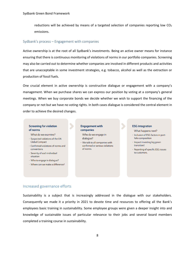reductions will be achieved by means of a targeted selection of companies reporting low  $CO<sub>2</sub>$ emissions.

#### <span id="page-7-0"></span>Sydbank's process – Engagement with companies

Active ownership is at the root of all Sydbank's investments. Being an active owner means for instance ensuring that there is continuous monitoring of violations of norms in our portfolio companies. Screening may also be carried out to determine whether companies are involved in different products and activities that are unacceptable in some investment strategies, e.g. tobacco, alcohol as well as the extraction or production of fossil fuels.

One crucial element in active ownership is constructive dialogue or engagement with a company's management. When we purchase shares we can express our position by voting at a company's general meetings. When we buy corporate bonds we decide whether we wish to support the financing of the company or not but we have no voting rights. In both cases dialogue is considered the central element in order to achieve the desired changes.

#### **Screening for violation** of norms

What do we examine?

- · Suspected violations of the UN **Global Compact**
- · Confirmed violations of norms and conventions
- · Severity of each individual situation
- · Who to engage in dialogue?
- · Where can we make a difference?

## **Engagement with** companies

- Who do we engage in dialoque?
- · We talk to all companies with confirmed or serious violations of norms

#### **ESG** integration

What happens next?

- · Inclusion of ESG factors in portfolio composition
- · Impact investing (eg green transition)
- · Reporting of specific ESG issues to customers.

### <span id="page-7-1"></span>Increased governance efforts

Sustainability is a subject that is increasingly addressed in the dialogue with our stakeholders. Consequently we made it a priority in 2021 to devote time and resources to offering all the Bank's employees basic training in sustainability. Some employee groups were given a deeper insight into and knowledge of sustainable issues of particular relevance to their jobs and several board members completed a training course in sustainability.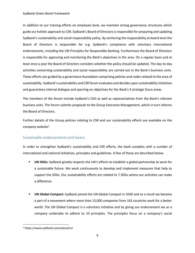In addition to our training efforts on employee level, we maintain strong governance structures which guide our holistic approach to CSR. Sydbank's Board of Directors is responsible for preparing and updating Sydbank's sustainability and social responsibility policy. By anchoring the responsibility at board level the Board of Directors is responsible for e.g. Sydbank's compliance with voluntary international endorsements, including the UN Principles for Responsible Banking. Furthermore the Board of Directors is responsible for approving and monitoring the Bank's objectives in the area. On a regular basis and at least once a year the Board of Directors considers whether the policy should be updated. The day-to-day activities concerning sustainability and social responsibility are carried out in the Bank's business units. These efforts are guided by a governance foundation comprising policies and codes related to the area of sustainability. Sydbank's sustainability and CSR forum evaluates and decides upon sustainability initiatives and guarantees internal dialogue and sparring on objectives for the Bank's 4 strategic focus areas.

The members of the forum include Sydbank's CEO as well as representatives from the Bank's relevant business units. The forum submits proposals to the Group Executive Management, which in turn informs the Board of Directors.

Further details of the Group policies relating to CSR and our sustainability efforts are available on the company website<sup>1</sup>.

## <span id="page-8-0"></span>Sustainable endorsements and levers

In order to strengthen Sydbank's sustainability and CSR efforts, the bank complies with a number of international and national initiatives, principles and guidelines. A few of these are described below.

- **UN SDGs:** Sydbank greatly respects the UN's efforts to establish a global partnership to work for a sustainable future. We work continuously to develop and implement measures that help to support the SDGs. Our sustainability efforts are related to 7 SDGs where our activities can make a difference.
- **UN Global Compact:** Sydbank joined the UN Global Compact in 2020 and as a result we became a part of a movement where more than 15,000 companies from 163 countries work for a better world. The UN Global Compact is a voluntary initiative and by giving our endorsement we as a company undertake to adhere to 10 principles. The principles focus on a company's social

<sup>1</sup> https://www.sydbank.com/about/csr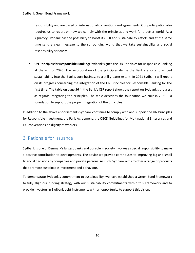responsibility and are based on international conventions and agreements. Our participation also requires us to report on how we comply with the principles and work for a better world. As a signatory Sydbank has the possibility to boost its CSR and sustainability efforts and at the same time send a clear message to the surrounding world that we take sustainability and social responsibility seriously.

▪ **UN Principles for Responsible Banking:** Sydbank signed the UN Principles for Responsible Banking at the end of 2020. The incorporation of the principles define the Bank's efforts to embed sustainability into the Bank's core business to a still greater extent. In 2021 Sydbank will report on its progress concerning the integration of the UN Principles for Responsible Banking for the first time. The table on page 56 in the Bank's CSR report shows the report on Sydbank's progress as regards integrating the principles. The table describes the foundation we built in  $2021 - a$ foundation to support the proper integration of the principles.

In addition to the above endorsements Sydbank continues to comply with and support the UN Principles for Responsible Investment, the Paris Agreement, the OECD Guidelines for Multinational Enterprises and ILO conventions on dignity of workers.

## <span id="page-9-0"></span>3. Rationale for Issuance

Sydbank is one of Denmark's largest banks and our role in society involves a special responsibility to make a positive contribution to developments. The advice we provide contributes to improving big and small financial decisions by companies and private persons. As such, Sydbank aims to offer a range of products that promote sustainable investment and behaviour.

To demonstrate Sydbank's commitment to sustainability, we have established a Green Bond Framework to fully align our funding strategy with our sustainability commitments within this Framework and to provide investors in Sydbank debt instruments with an opportunity to support this vision.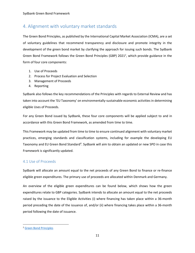## <span id="page-10-0"></span>4. Alignment with voluntary market standards

The Green Bond Principles, as published by the International Capital Market Association (ICMA), are a set of voluntary guidelines that recommend transparency and disclosure and promote integrity in the development of the green bond market by clarifying the approach for issuing such bonds. The Sydbank Green Bond Framework follows the Green Bond Principles (GBP) 2021<sup>2</sup>, which provide guidance in the form of four core components:

- 1. Use of Proceeds
- 2. Process for Project Evaluation and Selection
- 3. Management of Proceeds
- 4. Reporting

Sydbank also follows the key recommendations of the Principles with regards to External Review and has taken into account the 'EU Taxonomy' on environmentally-sustainable economic activities in determining eligible Uses of Proceeds.

For any Green Bond issued by Sydbank, these four core components will be applied subject to and in accordance with this Green Bond Framework, as amended from time to time.

This Framework may be updated from time to time to ensure continued alignment with voluntary market practices, emerging standards and classification systems, including for example the developing EU Taxonomy and EU Green Bond Standard<sup>4</sup>. Sydbank will aim to obtain an updated or new SPO in case this Framework is significantly updated.

## <span id="page-10-1"></span>4.1 Use of Proceeds

Sydbank will allocate an amount equal to the net proceeds of any Green Bond to finance or re-finance eligible green expenditures. The primary use of proceeds are allocated within Denmark and Germany.

An overview of the eligible green expenditures can be found below, which shows how the green expenditures relate to GBP categories. Sydbank intends to allocate an amount equal to the net proceeds raised by the issuance to the Eligible Activities (i) where financing has taken place within a 36-month period preceding the date of the issuance of, and/or (ii) where financing takes place within a 36-month period following the date of issuance.

<sup>2</sup> [Green Bond Principles](https://www.icmagroup.org/assets/documents/Sustainable-finance/2021-updates/Green-Bond-Principles-June-2021-100621.pdf)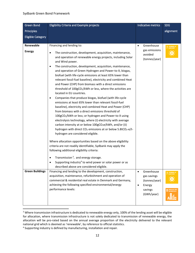| <b>Green Bond</b>          | Eligibility Criteria and Example projects                                                                                                                                                                                                                                                                                                                                                                                                                                                                                                                                                                                                                                                                                                                                                                                                                                                                                                                                                                                                                                                                                                                                                                                                                                                                                                                                                                                                                                                   | Indicative metrics                       | <b>SDG</b>                         |
|----------------------------|---------------------------------------------------------------------------------------------------------------------------------------------------------------------------------------------------------------------------------------------------------------------------------------------------------------------------------------------------------------------------------------------------------------------------------------------------------------------------------------------------------------------------------------------------------------------------------------------------------------------------------------------------------------------------------------------------------------------------------------------------------------------------------------------------------------------------------------------------------------------------------------------------------------------------------------------------------------------------------------------------------------------------------------------------------------------------------------------------------------------------------------------------------------------------------------------------------------------------------------------------------------------------------------------------------------------------------------------------------------------------------------------------------------------------------------------------------------------------------------------|------------------------------------------|------------------------------------|
| Principles                 |                                                                                                                                                                                                                                                                                                                                                                                                                                                                                                                                                                                                                                                                                                                                                                                                                                                                                                                                                                                                                                                                                                                                                                                                                                                                                                                                                                                                                                                                                             |                                          | alignment                          |
| <b>Eligible Category</b>   |                                                                                                                                                                                                                                                                                                                                                                                                                                                                                                                                                                                                                                                                                                                                                                                                                                                                                                                                                                                                                                                                                                                                                                                                                                                                                                                                                                                                                                                                                             |                                          |                                    |
|                            |                                                                                                                                                                                                                                                                                                                                                                                                                                                                                                                                                                                                                                                                                                                                                                                                                                                                                                                                                                                                                                                                                                                                                                                                                                                                                                                                                                                                                                                                                             |                                          |                                    |
| Renewable<br><b>Energy</b> | Financing and lending to:                                                                                                                                                                                                                                                                                                                                                                                                                                                                                                                                                                                                                                                                                                                                                                                                                                                                                                                                                                                                                                                                                                                                                                                                                                                                                                                                                                                                                                                                   | Greenhouse<br>$\bullet$<br>gas emissions |                                    |
|                            | The construction, development, acquisition, maintenance,<br>٠<br>and operation of renewable energy projects, including Solar<br>and Wind power.<br>The construction, development, acquisition, maintenance,<br>٠<br>and operation of Green Hydrogen and Power-to-X, biogas,<br>biofuel (with life-cycle emissions at least 65% lower than<br>relevant fossil-fuel baseline), electricity and combined Heat<br>and Power (CHP) from biomass with a direct emissions<br>threshold of 100gCO <sub>2</sub> /kWh or less, where the activities are<br>located in EU countries.<br>Companies that produce biogas, biofuel (with life-cycle<br>$\bullet$<br>emissions at least 65% lower than relevant fossil-fuel<br>baseline), electricity and combined Heat and Power (CHP)<br>from biomass with a direct emissions threshold of<br>100gCO <sub>2</sub> /kWh or less; or hydrogen and Power-to-X using<br>electrolysis technology, where (i) electricity with average<br>carbon intensity at or below 100gCO <sub>2</sub> e/kWh, and/or (ii)<br>hydrogen with direct CO <sub>2</sub> emissions at or below 5.8tCO <sub>2</sub> -e/t-<br>hydrogen are considered eligible.<br>Where allocation opportunities based on the above eligibility<br>criteria are not readily identifiable, Sydbank may apply the<br>following additional eligibility criteria:<br>Transmission <sup>3</sup> , and energy storage.<br>$\bullet$<br>Supporting industry <sup>4</sup> to wind power or solar power or as | avoided<br>(tonnes/year)                 |                                    |
| <b>Green Buildings</b>     | described above are considered eligible.<br>Financing and lending to the development, construction,                                                                                                                                                                                                                                                                                                                                                                                                                                                                                                                                                                                                                                                                                                                                                                                                                                                                                                                                                                                                                                                                                                                                                                                                                                                                                                                                                                                         | Greenhouse<br>$\bullet$                  | <b>7</b> AFFORDABLE AND            |
|                            | acquisition, maintenance, refurbishment and operation of<br>commercial & residential real estate in Denmark and Germany,<br>achieving the following specified environmental/energy                                                                                                                                                                                                                                                                                                                                                                                                                                                                                                                                                                                                                                                                                                                                                                                                                                                                                                                                                                                                                                                                                                                                                                                                                                                                                                          | gas savings<br>(tonnes/year)<br>Energy   |                                    |
|                            | performance levels:                                                                                                                                                                                                                                                                                                                                                                                                                                                                                                                                                                                                                                                                                                                                                                                                                                                                                                                                                                                                                                                                                                                                                                                                                                                                                                                                                                                                                                                                         | savings<br>(GWh/year)                    | SUSTAINABLE CITY<br>AND COMMUNITIE |

<sup>&</sup>lt;sup>3</sup> Where transmission infrastructure is dedicated to renewable energy only, 100% of the lending asset will be eligible for allocation, where transmission infrastructure is not solely dedicated to transmission of renewable energy, the allocation will be pro-rated based on the annual average proportion of the electricity delivered to the relevant national grid which is deemed as 'renewable', by reference to official statistics.

<sup>&</sup>lt;sup>4</sup> Supporting industry is defined by manufacturing, installation and repair.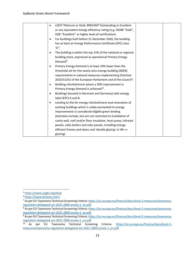| LEED <sup>5</sup> Platinum or Gold, BREEAM <sup>6</sup> Outstanding or Excellent<br>$\bullet$ |  |
|-----------------------------------------------------------------------------------------------|--|
| or any equivalent energy efficiency rating (e.g. DGNB "Gold",                                 |  |
| HQE "Excellent" or higher level of certification).                                            |  |
| For buildings built before 31 December 2020, the building<br>$\bullet$                        |  |
| has at least an Energy Performance Certificate (EPC) class<br>$'A^{\prime 7}$ .               |  |
| The building is within the top 15% of the national or regional<br>$\bullet$                   |  |
| building stock, expressed as operational Primary Energy<br>Demand <sup>8</sup> .              |  |
| Primary Energy Demand is at least 10% lower than the<br>$\bullet$                             |  |
| threshold set for the nearly zero-energy building (NZEB)                                      |  |
| requirements in national measures implementing Directive                                      |  |
| 2010/31/EU of the European Parliament and of the Council <sup>9</sup> .                       |  |
| Building refurbishment where a 30% improvement in<br>$\bullet$                                |  |
| Primary Energy Demand is achieved <sup>10</sup> .                                             |  |
| Buildings (located in Denmark and Germany) with energy<br>$\bullet$                           |  |
| label (EPC) A and B.                                                                          |  |
| Lending to the for energy refurbishment and renovation of<br>$\bullet$                        |  |
| existing buildings which is solely earmarked to energy                                        |  |
| improvements is considered eligible green lending.                                            |  |
| (Activities include, but are not restricted to installation of                                |  |
| cavity wall, roof and/or floor insulation, heat pump, infrared                                |  |
| panels, solar boilers and solar panels, installing energy-                                    |  |
| efficient frames and doors and 'double glazing' or HR ++                                      |  |
| glazing).                                                                                     |  |

<sup>5</sup> <https://www.usgbc.org/leed>

<sup>6</sup> <https://www.breeam.com/>

<sup>&</sup>lt;sup>7</sup> As per EU Taxonomy Technical Screening Criteria[: https://ec.europa.eu/finance/docs/level-2-measures/taxonomy](https://ec.europa.eu/finance/docs/level-2-measures/taxonomy-regulation-delegated-act-2021-2800-annex-1_en.pdf)[regulation-delegated-act-2021-2800-annex-1\\_en.pdf](https://ec.europa.eu/finance/docs/level-2-measures/taxonomy-regulation-delegated-act-2021-2800-annex-1_en.pdf)

<sup>8</sup> As per EU Taxonomy Technical Screening Criteria[: https://ec.europa.eu/finance/docs/level-2-measures/taxonomy](https://ec.europa.eu/finance/docs/level-2-measures/taxonomy-regulation-delegated-act-2021-2800-annex-1_en.pdf)[regulation-delegated-act-2021-2800-annex-1\\_en.pdf](https://ec.europa.eu/finance/docs/level-2-measures/taxonomy-regulation-delegated-act-2021-2800-annex-1_en.pdf)

<sup>&</sup>lt;sup>9</sup> As per EU Taxonomy Technical Screening Criteria[: https://ec.europa.eu/finance/docs/level-2-measures/taxonomy](https://ec.europa.eu/finance/docs/level-2-measures/taxonomy-regulation-delegated-act-2021-2800-annex-1_en.pdf)[regulation-delegated-act-2021-2800-annex-1\\_en.pdf](https://ec.europa.eu/finance/docs/level-2-measures/taxonomy-regulation-delegated-act-2021-2800-annex-1_en.pdf)

<sup>&</sup>lt;sup>10</sup> As per EU Taxonomy Technical Screening Criteria: [https://ec.europa.eu/finance/docs/level-2](https://ec.europa.eu/finance/docs/level-2-measures/taxonomy-regulation-delegated-act-2021-2800-annex-1_en.pdf) [measures/taxonomy-regulation-delegated-act-2021-2800-annex-1\\_en.pdf](https://ec.europa.eu/finance/docs/level-2-measures/taxonomy-regulation-delegated-act-2021-2800-annex-1_en.pdf)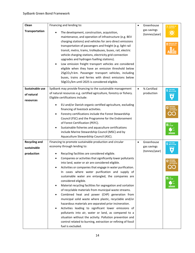| Clean                | Financing and lending to:                                                                                                                                                                                                                                                                                                                                                                                                                                                                                                                                                                                                                                                                                                                                                                                                                                                                                                    |           | Greenhouse                   |                               |
|----------------------|------------------------------------------------------------------------------------------------------------------------------------------------------------------------------------------------------------------------------------------------------------------------------------------------------------------------------------------------------------------------------------------------------------------------------------------------------------------------------------------------------------------------------------------------------------------------------------------------------------------------------------------------------------------------------------------------------------------------------------------------------------------------------------------------------------------------------------------------------------------------------------------------------------------------------|-----------|------------------------------|-------------------------------|
| Transportation       | The development, construction, acquisition,<br>maintenance, and operation of infrastructure (e.g. BEV<br>charging stations) and vehicles for zero direct emissions<br>transportation of passengers and freight (e.g. light rail<br>transit, metro, trams, trolleybuses, buses, rail, electric<br>vehicle charging stations, electricity grid connection<br>upgrades and hydrogen fuelling stations).<br>Low emission freight transport vehicles are considered<br>$\bullet$<br>eligible when they have an emission threshold below<br>25gCO <sub>2</sub> /t-km. Passenger transport vehicles, including<br>buses, trains and ferries with direct emissions below<br>50gCO2/km until 2025 is considered eligible.                                                                                                                                                                                                             |           | gas savings<br>(tonnes/year) |                               |
| Sustainable use      | Sydbank may provide financing to the sustainable management                                                                                                                                                                                                                                                                                                                                                                                                                                                                                                                                                                                                                                                                                                                                                                                                                                                                  | $\bullet$ | % Certified                  | <b>6</b> CLEAN WATER          |
| of natural           | of natural resources e.g. certified agriculture, forestry or fishery.                                                                                                                                                                                                                                                                                                                                                                                                                                                                                                                                                                                                                                                                                                                                                                                                                                                        |           | production                   |                               |
| resources            | Eligible certifications include:                                                                                                                                                                                                                                                                                                                                                                                                                                                                                                                                                                                                                                                                                                                                                                                                                                                                                             |           |                              |                               |
|                      | EU and/or Danish organic certified agriculture, excluding<br>financing of livestock activities.<br>Forestry certifications include the Forest Stewardship<br>Council (FSC) and the Programme for the Endorsement<br>of Forest Certification (PEFC).<br>Sustainable fisheries and aquaculture certifications<br>include Marine Stewardship Council (MSC) and by<br>Aquaculture Stewardship Council (ASC).                                                                                                                                                                                                                                                                                                                                                                                                                                                                                                                     |           |                              | <b>15</b> UFE                 |
| <b>Recycling and</b> | Financing to promote sustainable production and circular                                                                                                                                                                                                                                                                                                                                                                                                                                                                                                                                                                                                                                                                                                                                                                                                                                                                     | $\bullet$ | Greenhouse                   | CLEAN WATER<br>AND SANITATION |
| sustainable          | economy through lending to:                                                                                                                                                                                                                                                                                                                                                                                                                                                                                                                                                                                                                                                                                                                                                                                                                                                                                                  |           | gas savings                  |                               |
| production           | Recycling facilities are considered eligible.<br>Companies or activities that significantly lower pollutants<br>into land, water or air are considered eligible.<br>Activities or companies that engage in water purification.<br>In cases where water purification and supply of<br>sustainable water are entangled, the companies are<br>considered eligible.<br>Material recycling facilities for segregation and sortation<br>of recyclable materials from municipal waste streams.<br>Combined heat and power (CHP) generation from<br>municipal solid waste where plastic, recyclable and/or<br>hazardous materials are separated prior incineration.<br>Activities leading to significant lower emissions of<br>pollutants into air, water or land, as compared to a<br>situation without the activity. Pollution prevention and<br>control related to burning, extraction or refining of fossil<br>fuel is excluded. |           | (tonnes/year)                | 15 UFE                        |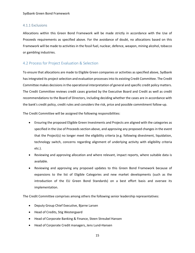### <span id="page-14-0"></span>4.1.1 Exclusions

Allocations within this Green Bond Framework will be made strictly in accordance with the Use of Proceeds requirements as specified above. For the avoidance of doubt, no allocations based on this Framework will be made to activities in the fossil fuel, nuclear, defence, weapon, mining alcohol, tobacco or gambling industries.

## <span id="page-14-1"></span>4.2 Process for Project Evaluation & Selection

To ensure that allocations are made to Eligible Green companies or activities as specified above, Sydbank hasintegrated its project selection and evaluation processes into its existing Credit Committee. The Credit Committee makes decisions in the operational interpretation of general and specific credit policy matters. The Credit Committee reviews credit cases granted by the Executive Board and Credit as well as credit recommendations to the Board of Directors, including deciding whether the cases are in accordance with the bank's credit policy, credit rules and considers the risk, price and possible commitment follow-up.

The Credit Committee will be assigned the following responsibilities:

- Ensuring the proposed Eligible Green Investments and Projects are aligned with the categories as specified in the Use of Proceeds section above, and approving any proposed changes in the event that the Project(s) no longer meet the eligibility criteria (e.g. following divestment, liquidation, technology switch, concerns regarding alignment of underlying activity with eligibility criteria etc.).
- Reviewing and approving allocation and where relevant, impact reports, where suitable data is available.
- Reviewing and approving any proposed updates to this Green Bond Framework because of expansions to the list of Eligible Categories and new market developments (such as the introduction of the EU Green Bond Standards) on a best effort basis and oversee its implementation.

The Credit Committee comprises among others the following senior leadership representatives:

- Deputy Group Chief Executive, Bjarne Larsen
- Head of Credits, Stig Westergaard
- Head of Corporate Banking & Finance, Steen Streubel Hansen
- Head of Corporate Credit managers, Jens Lund-Hansen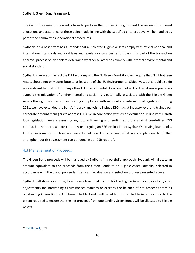The Committee meet on a weekly basis to perform their duties. Going forward the review of proposed allocations and assurance of these being made in line with the specified criteria above will be handled as part of the committees' operational procedures.

Sydbank, on a best effort basis, intends that all selected Eligible Assets comply with official national and international standards and local laws and regulations on a best effort basis. It is part of the transaction approval process of Sydbank to determine whether all activities comply with internal environmental and social standards.

Sydbank is aware of the fact the EU Taxonomy and the EU Green Bond Standard require that Eligible Green Assets should not only contribute to at least one of the EU Environmental Objectives, but should also do no significant harm (DNSH) to any other EU Environmental Objective. Sydbank's due-diligence processes support the mitigation of environmental and social risks potentially associated with the Eligible Green Assets through their basis in supporting compliance with national and international legislation. During 2021, we have extended the Bank's industry analysis to include ESG risks at industry level and trained our corporate account managers to address ESG risks in connection with credit evaluation. In line with Danish local legislation, we are assessing any future financing and lending exposure against pre-defined ESG criteria. Furthermore, we are currently undergoing an ESG evaluation of Sydbank's existing loan books. Further information on how we currently address ESG risks and what we are planning to further strengthen our risk assessment can be found in our CSR report $^{11}$ .

## <span id="page-15-0"></span>4.3 Management of Proceeds

The Green Bond proceeds will be managed by Sydbank in a portfolio approach. Sydbank will allocate an amount equivalent to the proceeds from the Green Bonds to an Eligible Asset Portfolio, selected in accordance with the use of proceeds criteria and evaluation and selection process presented above.

Sydbank will strive, over time, to achieve a level of allocation for the Eligible Asset Portfolio which, after adjustments for intervening circumstances matches or exceeds the balance of net proceeds from its outstanding Green Bonds. Additional Eligible Assets will be added to our Eligible Asset Portfolio to the extent required to ensure that the net proceeds from outstanding Green Bonds will be allocated to Eligible Assets.

<sup>&</sup>lt;sup>11</sup> [CSR Report;](https://ipaper.ipapercms.dk/Sydbank/regnskaber-2021/csr-report-2021/) p.21f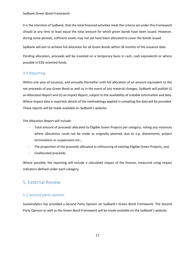It is the intention of Sydbank, that the total financed activities meet the criteria set under this Framework should at any time at least equal the total amount for which green bonds have been issued. However, during some periods, sufficient assets may not yet have been allocated to cover the bonds issued.

Sydbank will aim to achieve full allocation for all Green Bonds within 36 months of the issuance date.

Pending allocation, proceeds will be invested on a temporary basis in cash, cash equivalents or where possible in ESG-oriented funds.

## <span id="page-16-0"></span>4.4 Reporting

Within one year of issuance, and annually thereafter until full allocation of an amount equivalent to the net proceeds of any Green Bond as well as in the event of any material changes, Sydbank will publish (i) an Allocation Report and (ii) an Impact Report, subject to the availability of suitable information and data. Where impact data is reported, details of the methodology applied in compiling the data will be provided. These reports will be made available on Sydbank's website.

The Allocation Report will include:

- Total amount of proceeds allocated to Eligible Green Projects per category, noting any instances where allocations could not be made as originally planned, due to e.g. divestments, project terminations or suspensions etc.;
- The proportion of the proceeds allocated to refinancing of existing Eligible Green Projects; and,
- Unallocated proceeds.

Where possible, the reporting will include a calculated impact of the finance, measured using impact indicators defined under each category.

## <span id="page-16-1"></span>5. External Review

## <span id="page-16-2"></span>5.1 Second party opinion

Sustainalytics has provided a Second Party Opinion on Sydbank's Green Bond Framework. The Second Party Opinion as well as the Green Bond Framework will be made available on the Sydbank's website.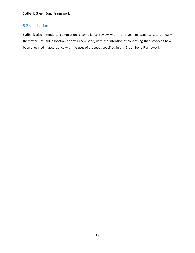## <span id="page-17-0"></span>5.2 Verification

Sydbank also intends to commission a compliance review within one year of issuance and annually thereafter until full allocation of any Green Bond, with the intention of confirming that proceeds have been allocated in accordance with the uses of proceeds specified in this Green Bond Framework.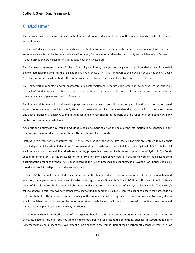## <span id="page-18-0"></span>6. Disclaimer

The information and opinions contained in this Framework are provided as at the date of this document and are subject to change without notice.

Sydbank A/S does not assume any responsibility or obligation to update or revise such statements, regardless of whether those statements are affected by the results of new information, future events or otherwise, or to notify any recipient of this Framework if any information herein changes or subsequently becomes inaccurate.

This Framework represents current Sydbank A/S policy and intent, is subject to change and is not intended nor can it be relied on, to create legal relations, rights or obligations. Any references within this Framework to the provision or publication by Sydbank A/S of any report are, as described in this Framework, subject to the availability of suitable information and data.

This Framework may contain and/or incorporate public information not separately reviewed, approved, endorsed or verified by Sydbank A/S, and accordingly Sydbank A/S makes representation, warranty or undertaking as to, and accepts no responsibility for, the accuracy or completeness of such information.

This Framework is provided for information purposes only and does not constitute or form part of, and should not be construed as, an offer or invitation to sell Sydbank A/S Bonds, or the solicitation of an offer to underwrite, subscribe for or otherwise acquire any debt or bonds of Sydbank A/S, and nothing contained herein shall form the basis of or be relied on in connection with any contract or commitment whatsoever.

Any decision to purchase any Sydbank A/S Bonds should be made solely on the basis of the information to be contained in any offering document produced in connection with the offering of such bonds.

Nothing in this Framework constitutes legal, financial, accounting or tax advice. Prospective investors are required to make their own independent investment decisions. No representation is made as to the suitability of any Sydbank A/S Bonds to fulfil environmental and sustainability criteria required by prospective investors. Each potential purchaser of Sydbank A/S Bonds should determine for itself the relevance of the information contained or referred to in this Framework or the relevant bond documentation for such Sydbank A/S Bonds regarding the use of proceeds and its purchase of Sydbank A/S Bonds should be based upon such investigation as it deems necessary.

Sydbank A/S has set out its intended policy and actions in this Framework in respect of use of proceeds, project evaluation and selection, management of proceeds and investor reporting, in connection with Sydbank A/S Bonds. However, it will not be an event of default or breach of contractual obligations under the terms and conditions of any Sydbank A/S Bonds if Sydbank A/S fails to adhere to this Framework, whether by failing to fund or complete Eligible Green Projects or to ensure that proceeds do not contribute directly or indirectly to the financing of the excluded activities as specified in this Framework, or by failing (due to a lack of reliable information and/or data or otherwise) to provide investors with reports on uses of proceeds and environmental impacts as anticipated by this Framework, or otherwise.

In addition, it should be noted that all of the expected benefits of the Projects as described in this Framework may not be achieved. Factors including (but not limited to) market, political and economic conditions, changes in Government policy (whether with a continuity of the Government or on a change in the composition of the Government), changes in laws, rules or